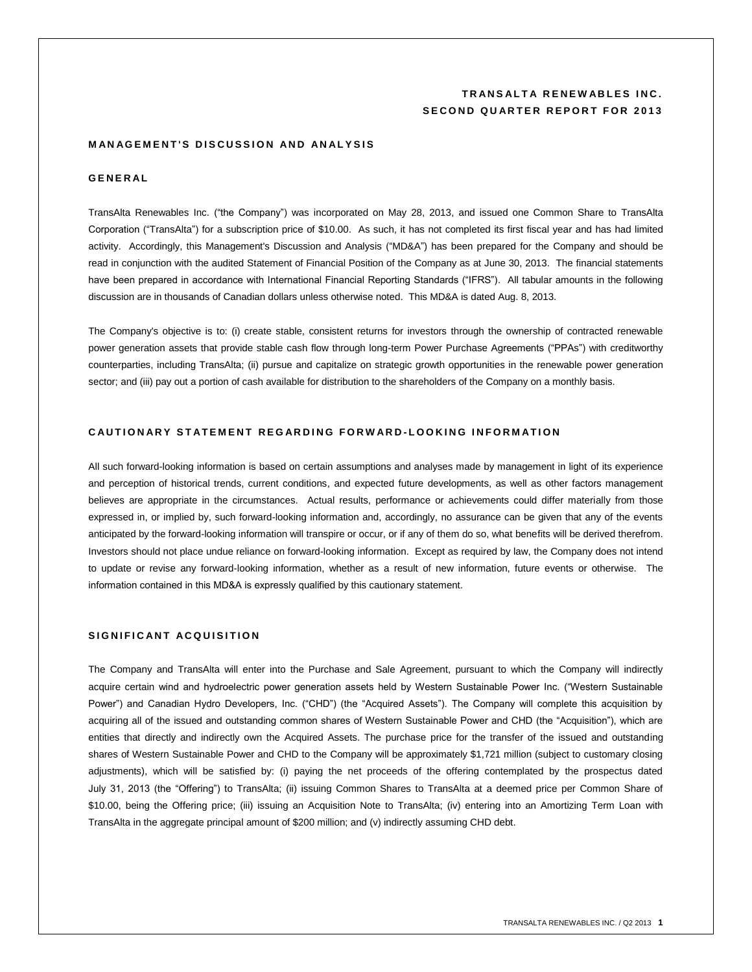# **TRANSALTA RENEWABLES INC. SECOND QUARTER REPORT FOR 2013**

### **MANAGEMENT'S DISCUSSION AND ANALYSIS**

## **G E N E R A L**

TransAlta Renewables Inc. ("the Company") was incorporated on May 28, 2013, and issued one Common Share to TransAlta Corporation ("TransAlta") for a subscription price of \$10.00. As such, it has not completed its first fiscal year and has had limited activity. Accordingly, this Management's Discussion and Analysis ("MD&A") has been prepared for the Company and should be read in conjunction with the audited Statement of Financial Position of the Company as at June 30, 2013. The financial statements have been prepared in accordance with International Financial Reporting Standards ("IFRS"). All tabular amounts in the following discussion are in thousands of Canadian dollars unless otherwise noted. This MD&A is dated Aug. 8, 2013.

The Company's objective is to: (i) create stable, consistent returns for investors through the ownership of contracted renewable power generation assets that provide stable cash flow through long-term Power Purchase Agreements ("PPAs") with creditworthy counterparties, including TransAlta; (ii) pursue and capitalize on strategic growth opportunities in the renewable power generation sector; and (iii) pay out a portion of cash available for distribution to the shareholders of the Company on a monthly basis.

# **C A U T I O N A R Y S T A T E M E N T R E G A R D I N G F O R W A R D - L O O K I N G I N F O R M A T I O N**

All such forward-looking information is based on certain assumptions and analyses made by management in light of its experience and perception of historical trends, current conditions, and expected future developments, as well as other factors management believes are appropriate in the circumstances. Actual results, performance or achievements could differ materially from those expressed in, or implied by, such forward-looking information and, accordingly, no assurance can be given that any of the events anticipated by the forward-looking information will transpire or occur, or if any of them do so, what benefits will be derived therefrom. Investors should not place undue reliance on forward-looking information. Except as required by law, the Company does not intend to update or revise any forward-looking information, whether as a result of new information, future events or otherwise. The information contained in this МD&A is expressly qualified by this cautionary statement.

# **SIGNIFICANT ACQUISITION**

The Company and TransAlta will enter into the Purchase and Sale Agreement, pursuant to which the Company will indirectly acquire certain wind and hydroelectric power generation assets held by Western Sustainable Power Inc. ("Western Sustainable Power") and Canadian Hydro Developers, Inc. ("CHD") (the "Acquired Assets"). The Company will complete this acquisition by acquiring all of the issued and outstanding common shares of Western Sustainable Power and CHD (the "Acquisition"), which are entities that directly and indirectly own the Acquired Assets. The purchase price for the transfer of the issued and outstanding shares of Western Sustainable Power and CHD to the Company will be approximately \$1,721 million (subject to customary closing adjustments), which will be satisfied by: (i) paying the net proceeds of the offering contemplated by the prospectus dated July 31, 2013 (the "Offering") to TransAlta; (ii) issuing Common Shares to TransAlta at a deemed price per Common Share of \$10.00, being the Offering price; (iii) issuing an Acquisition Note to TransAlta; (iv) entering into an Amortizing Term Loan with TransAlta in the aggregate principal amount of \$200 million; and (v) indirectly assuming CHD debt.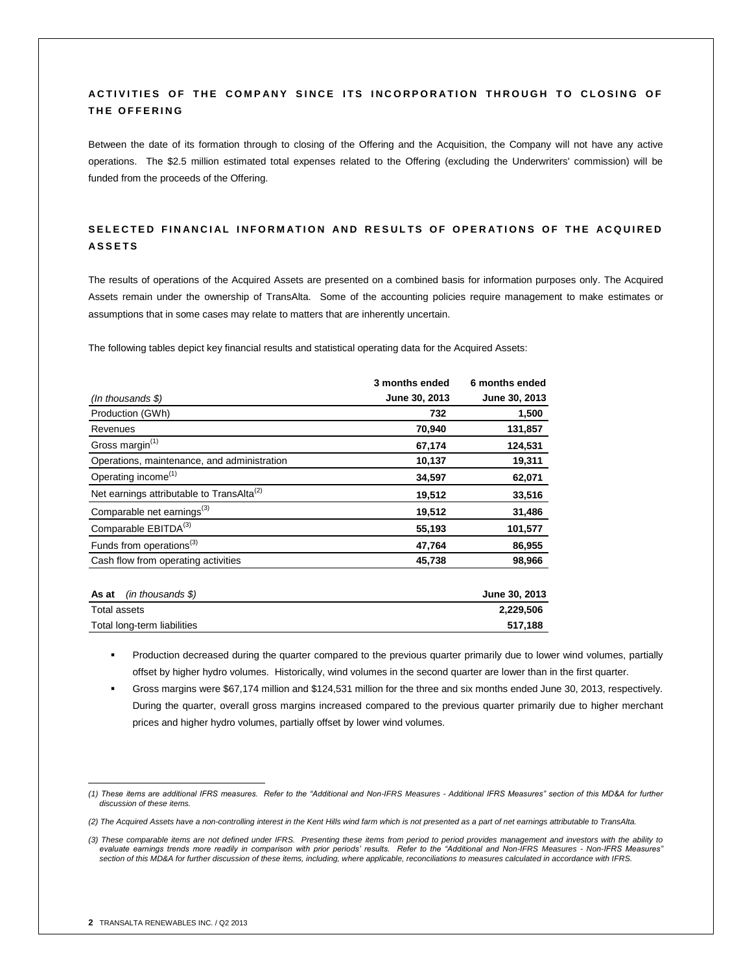# ACTIVITIES OF THE COMPANY SINCE ITS INCORPORATION THROUGH TO CLOSING OF **THE OFFERING**

Between the date of its formation through to closing of the Offering and the Acquisition, the Company will not have any active operations. The \$2.5 million estimated total expenses related to the Offering (excluding the Underwriters' commission) will be funded from the proceeds of the Offering.

# SELECTED FINANCIAL INFORMATION AND RESULTS OF OPERATIONS OF THE ACQUIRED **A S S E T S**

The results of operations of the Acquired Assets are presented on a combined basis for information purposes only. The Acquired Assets remain under the ownership of TransAlta. Some of the accounting policies require management to make estimates or assumptions that in some cases may relate to matters that are inherently uncertain.

The following tables depict key financial results and statistical operating data for the Acquired Assets:

|                                                       | 3 months ended | 6 months ended |
|-------------------------------------------------------|----------------|----------------|
| $(In$ thousands $\$\)$                                | June 30, 2013  | June 30, 2013  |
| Production (GWh)                                      | 732            | 1,500          |
| Revenues                                              | 70,940         | 131,857        |
| Gross margin <sup>(1)</sup>                           | 67,174         | 124,531        |
| Operations, maintenance, and administration           | 10,137         | 19,311         |
| Operating income <sup>(1)</sup>                       | 34,597         | 62,071         |
| Net earnings attributable to TransAlta <sup>(2)</sup> | 19,512         | 33,516         |
| Comparable net earnings <sup>(3)</sup>                | 19,512         | 31,486         |
| Comparable EBITDA <sup>(3)</sup>                      | 55,193         | 101,577        |
| Funds from operations <sup>(3)</sup>                  | 47,764         | 86,955         |
| Cash flow from operating activities                   | 45,738         | 98,966         |

| <b>As at</b> (in thousands \$) | June 30, 2013 |
|--------------------------------|---------------|
| Total assets                   | 2.229.506     |
| Total long-term liabilities    | 517.188       |
|                                |               |

 Production decreased during the quarter compared to the previous quarter primarily due to lower wind volumes, partially offset by higher hydro volumes. Historically, wind volumes in the second quarter are lower than in the first quarter.

 Gross margins were \$67,174 million and \$124,531 million for the three and six months ended June 30, 2013, respectively. During the quarter, overall gross margins increased compared to the previous quarter primarily due to higher merchant prices and higher hydro volumes, partially offset by lower wind volumes.

 *(1) These items are additional IFRS measures. Refer to the "Additional and Non-IFRS Measures - Additional IFRS Measures" section of this MD&A for further discussion of these items.*

*<sup>(2)</sup> The Acquired Assets have a non-controlling interest in the Kent Hills wind farm which is not presented as a part of net earnings attributable to TransAlta.*

*<sup>(3)</sup> These comparable items are not defined under IFRS. Presenting these items from period to period provides management and investors with the ability to evaluate earnings trends more readily in comparison with prior periods' results. Refer to the "Additional and Non-IFRS Measures - Non-IFRS Measures" section of this MD&A for further discussion of these items, including, where applicable, reconciliations to measures calculated in accordance with IFRS.*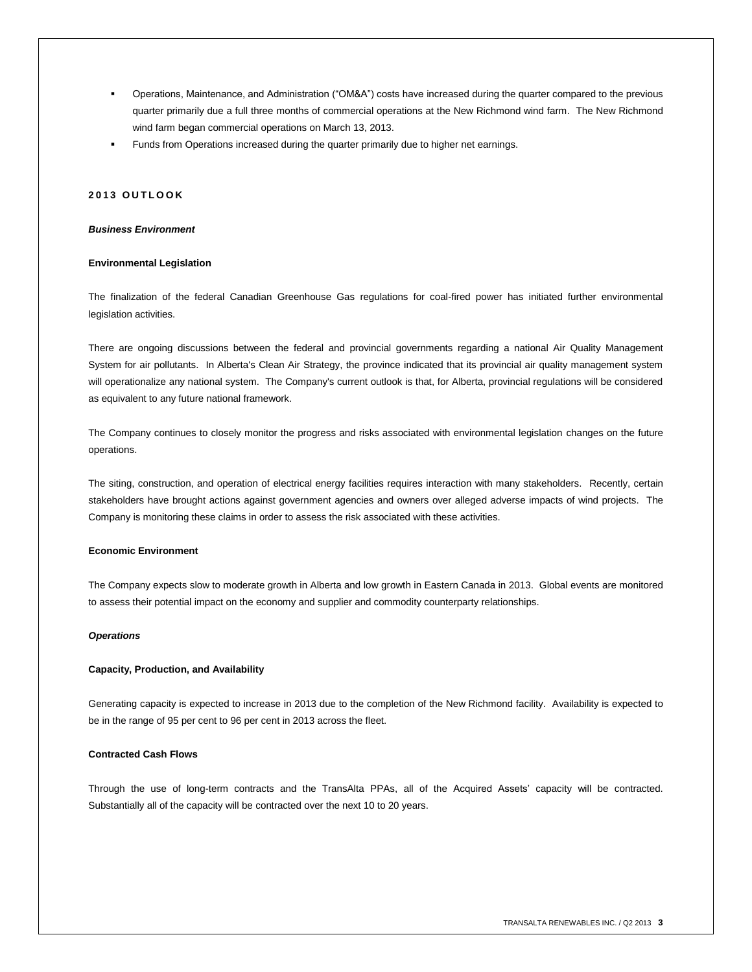- Operations, Maintenance, and Administration ("OM&A") costs have increased during the quarter compared to the previous quarter primarily due a full three months of commercial operations at the New Richmond wind farm. The New Richmond wind farm began commercial operations on March 13, 2013.
- Funds from Operations increased during the quarter primarily due to higher net earnings.

# **2 0 1 3 O U T L O O K**

#### *Business Environment*

#### **Environmental Legislation**

The finalization of the federal Canadian Greenhouse Gas regulations for coal-fired power has initiated further environmental legislation activities.

There are ongoing discussions between the federal and provincial governments regarding a national Air Quality Management System for air pollutants. In Alberta's Clean Air Strategy, the province indicated that its provincial air quality management system will operationalize any national system. The Company's current outlook is that, for Alberta, provincial regulations will be considered as equivalent to any future national framework.

The Company continues to closely monitor the progress and risks associated with environmental legislation changes on the future operations.

The siting, construction, and operation of electrical energy facilities requires interaction with many stakeholders. Recently, certain stakeholders have brought actions against government agencies and owners over alleged adverse impacts of wind projects. The Company is monitoring these claims in order to assess the risk associated with these activities.

### **Economic Environment**

The Company expects slow to moderate growth in Alberta and low growth in Eastern Canada in 2013. Global events are monitored to assess their potential impact on the economy and supplier and commodity counterparty relationships.

### *Operations*

### **Capacity, Production, and Availability**

Generating capacity is expected to increase in 2013 due to the completion of the New Richmond facility. Availability is expected to be in the range of 95 per cent to 96 per cent in 2013 across the fleet.

## **Contracted Cash Flows**

Through the use of long-term contracts and the TransAlta PPAs, all of the Acquired Assets' capacity will be contracted. Substantially all of the capacity will be contracted over the next 10 to 20 years.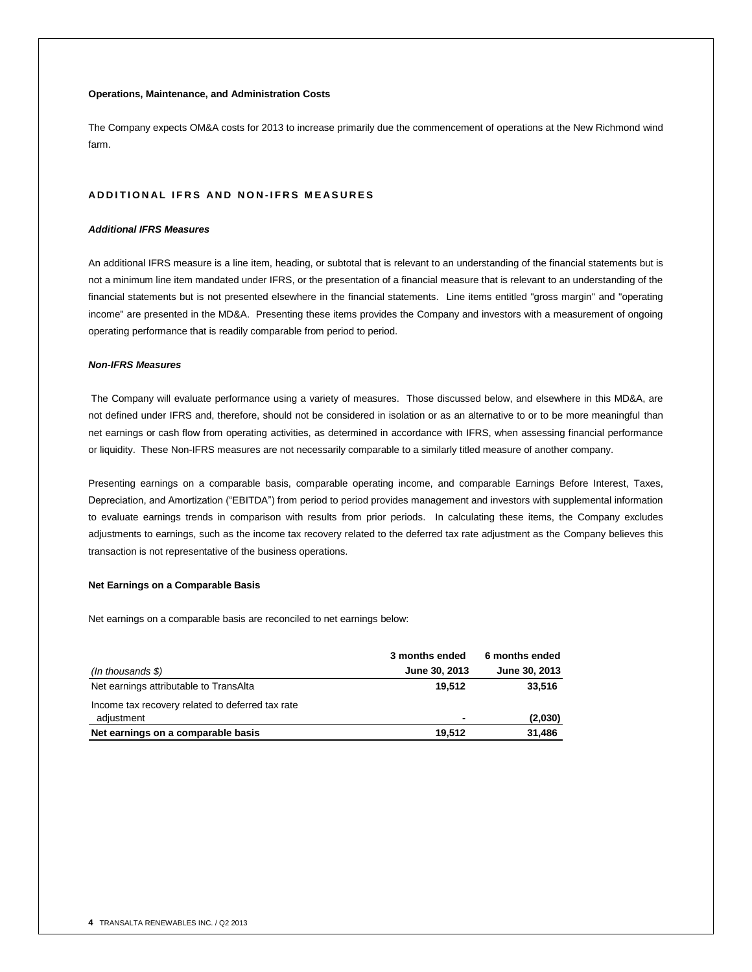## **Operations, Maintenance, and Administration Costs**

The Company expects OM&A costs for 2013 to increase primarily due the commencement of operations at the New Richmond wind farm.

# **A D D I T I O N A L I F R S A N D N O N - I F R S M E A S U R E S**

#### *Additional IFRS Measures*

An additional IFRS measure is a line item, heading, or subtotal that is relevant to an understanding of the financial statements but is not a minimum line item mandated under IFRS, or the presentation of a financial measure that is relevant to an understanding of the financial statements but is not presented elsewhere in the financial statements. Line items entitled "gross margin" and "operating income" are presented in the MD&A. Presenting these items provides the Company and investors with a measurement of ongoing operating performance that is readily comparable from period to period.

## *Non-IFRS Measures*

The Company will evaluate performance using a variety of measures. Those discussed below, and elsewhere in this MD&A, are not defined under IFRS and, therefore, should not be considered in isolation or as an alternative to or to be more meaningful than net earnings or cash flow from operating activities, as determined in accordance with IFRS, when assessing financial performance or liquidity. These Non-IFRS measures are not necessarily comparable to a similarly titled measure of another company.

Presenting earnings on a comparable basis, comparable operating income, and comparable Earnings Before Interest, Taxes, Depreciation, and Amortization ("EBITDA") from period to period provides management and investors with supplemental information to evaluate earnings trends in comparison with results from prior periods. In calculating these items, the Company excludes adjustments to earnings, such as the income tax recovery related to the deferred tax rate adjustment as the Company believes this transaction is not representative of the business operations.

## **Net Earnings on a Comparable Basis**

Net earnings on a comparable basis are reconciled to net earnings below:

|                                                                | 3 months ended | 6 months ended |  |
|----------------------------------------------------------------|----------------|----------------|--|
| $($ In thousands \$ $)$                                        | June 30, 2013  | June 30, 2013  |  |
| Net earnings attributable to TransAlta                         | 19.512         | 33,516         |  |
| Income tax recovery related to deferred tax rate<br>adjustment | $\blacksquare$ | (2,030)        |  |
| Net earnings on a comparable basis                             | 19.512         | 31,486         |  |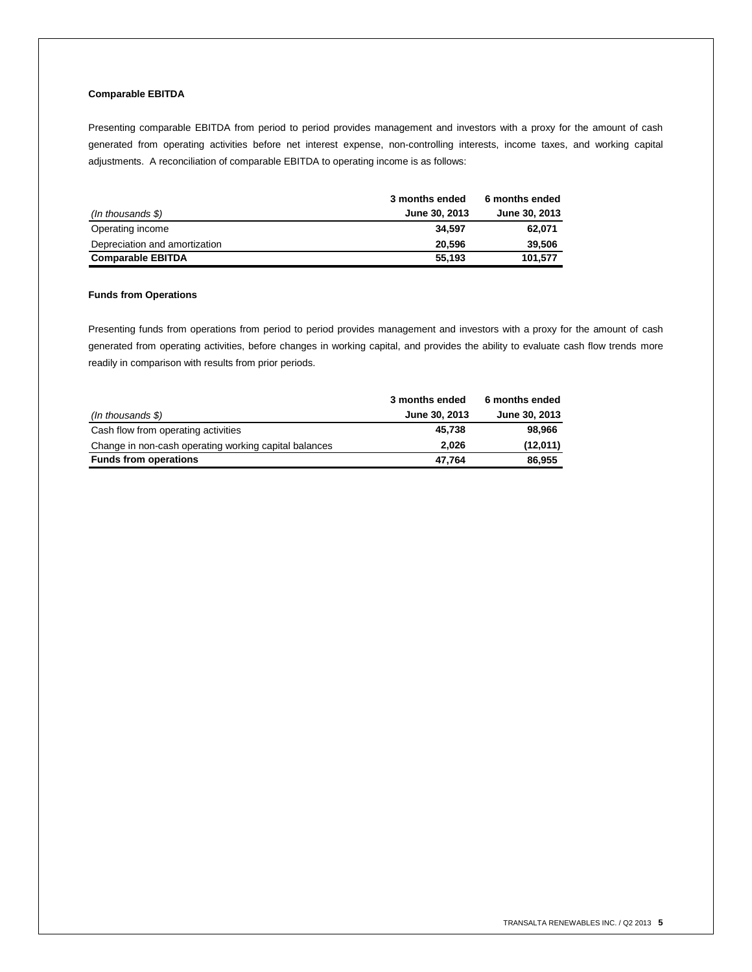# **Comparable EBITDA**

Presenting comparable EBITDA from period to period provides management and investors with a proxy for the amount of cash generated from operating activities before net interest expense, non-controlling interests, income taxes, and working capital adjustments. A reconciliation of comparable EBITDA to operating income is as follows:

|                               | 3 months ended | 6 months ended |
|-------------------------------|----------------|----------------|
| (In thousands \$)             | June 30, 2013  | June 30, 2013  |
| Operating income              | 34.597         | 62,071         |
| Depreciation and amortization | 20.596         | 39,506         |
| <b>Comparable EBITDA</b>      | 55.193         | 101.577        |

#### **Funds from Operations**

Presenting funds from operations from period to period provides management and investors with a proxy for the amount of cash generated from operating activities, before changes in working capital, and provides the ability to evaluate cash flow trends more readily in comparison with results from prior periods.

|                                                       | 3 months ended | 6 months ended |
|-------------------------------------------------------|----------------|----------------|
| $($ In thousands \$ $)$                               | June 30, 2013  | June 30, 2013  |
| Cash flow from operating activities                   | 45.738         | 98.966         |
| Change in non-cash operating working capital balances | 2.026          | (12,011)       |
| <b>Funds from operations</b>                          | 47,764         | 86,955         |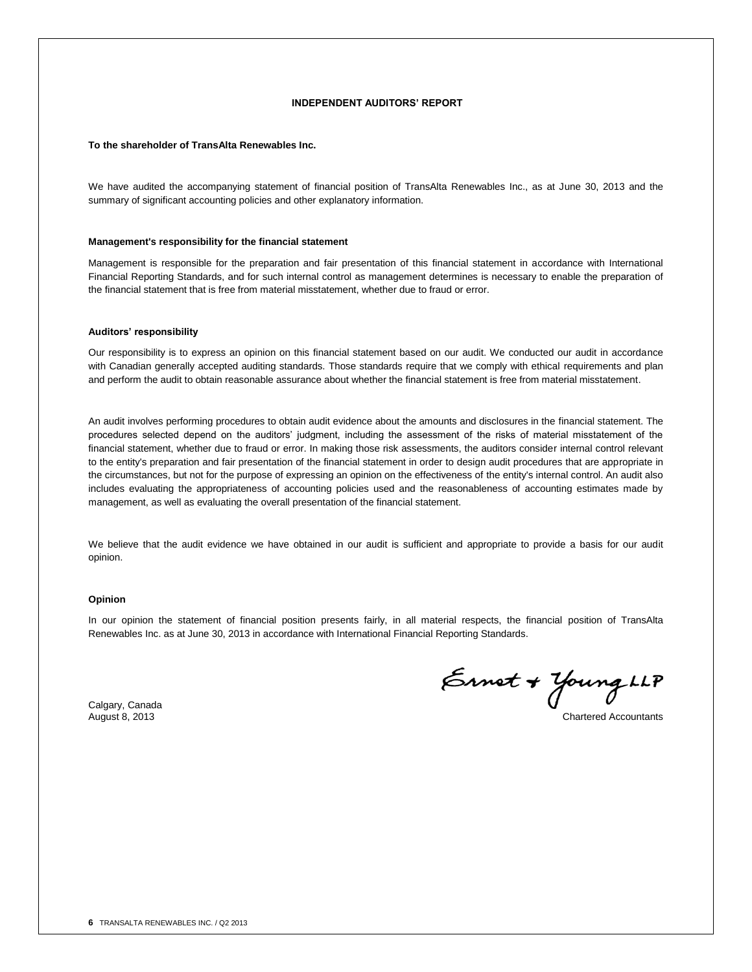### **INDEPENDENT AUDITORS' REPORT**

#### **To the shareholder of TransAlta Renewables Inc.**

We have audited the accompanying statement of financial position of TransAlta Renewables Inc., as at June 30, 2013 and the summary of significant accounting policies and other explanatory information.

#### **Management's responsibility for the financial statement**

Management is responsible for the preparation and fair presentation of this financial statement in accordance with International Financial Reporting Standards, and for such internal control as management determines is necessary to enable the preparation of the financial statement that is free from material misstatement, whether due to fraud or error.

#### **Auditors' responsibility**

Our responsibility is to express an opinion on this financial statement based on our audit. We conducted our audit in accordance with Canadian generally accepted auditing standards. Those standards require that we comply with ethical requirements and plan and perform the audit to obtain reasonable assurance about whether the financial statement is free from material misstatement.

An audit involves performing procedures to obtain audit evidence about the amounts and disclosures in the financial statement. The procedures selected depend on the auditors' judgment, including the assessment of the risks of material misstatement of the financial statement, whether due to fraud or error. In making those risk assessments, the auditors consider internal control relevant to the entity's preparation and fair presentation of the financial statement in order to design audit procedures that are appropriate in the circumstances, but not for the purpose of expressing an opinion on the effectiveness of the entity's internal control. An audit also includes evaluating the appropriateness of accounting policies used and the reasonableness of accounting estimates made by management, as well as evaluating the overall presentation of the financial statement.

We believe that the audit evidence we have obtained in our audit is sufficient and appropriate to provide a basis for our audit opinion.

## **Opinion**

In our opinion the statement of financial position presents fairly, in all material respects, the financial position of TransAlta Renewables Inc. as at June 30, 2013 in accordance with International Financial Reporting Standards.

Calgary, Canada<br>August 8, 2013

Ernet + Young LLP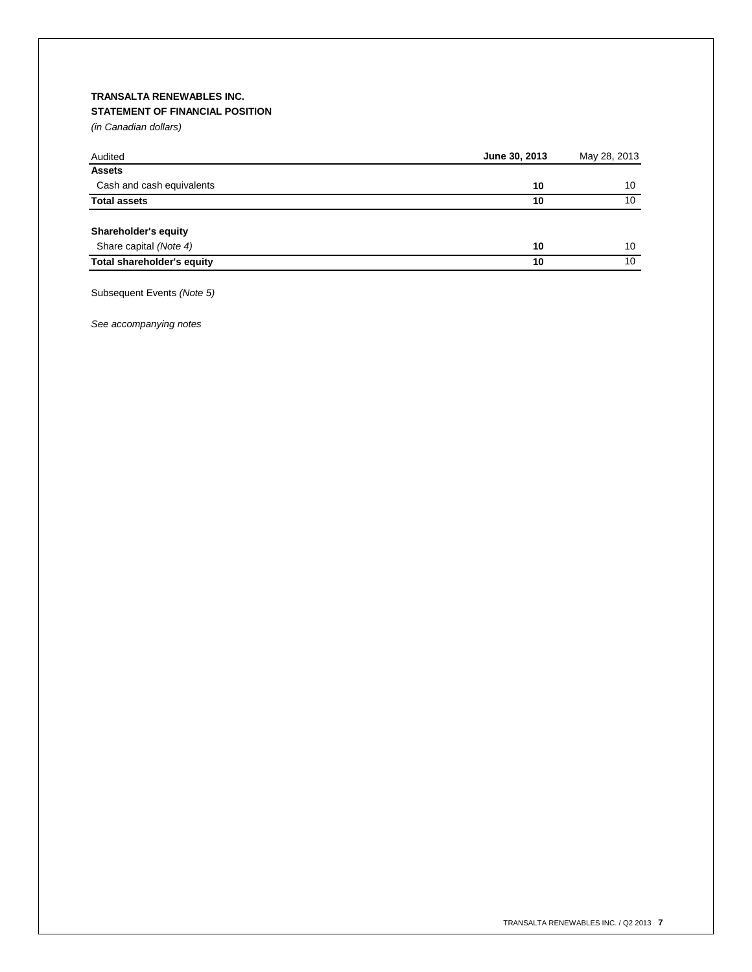# **TRANSALTA RENEWABLES INC. STATEMENT OF FINANCIAL POSITION**

*(in Canadian dollars)*

| Audited                           | June 30, 2013 | May 28, 2013 |
|-----------------------------------|---------------|--------------|
| <b>Assets</b>                     |               |              |
| Cash and cash equivalents         | 10            | 10           |
| <b>Total assets</b>               | 10            | 10           |
| Shareholder's equity              |               |              |
| Share capital (Note 4)            | 10            | 10           |
| <b>Total shareholder's equity</b> | 10            | 10           |

Subsequent Events *(Note 5)*

*See accompanying notes*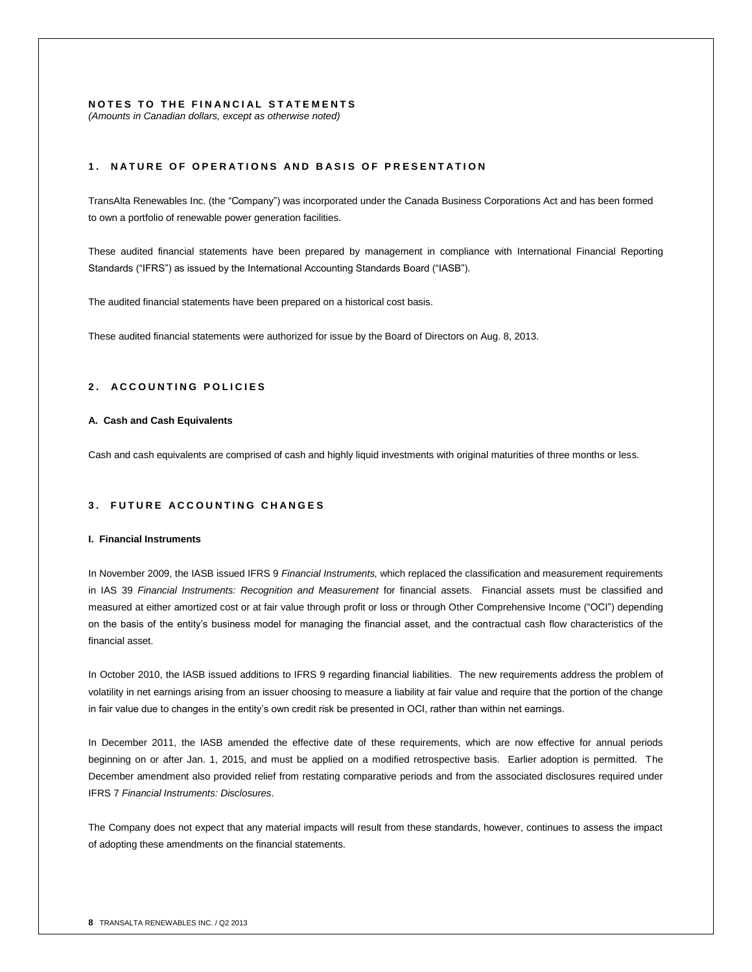# **NOTES TO THE FINANCIAL STATEMENTS**

*(Amounts in Canadian dollars, except as otherwise noted)*

# **1 . N A T U R E O F O P E R A T I O N S A N D B A S I S O F P R E S E N T A T I O N**

TransAlta Renewables Inc. (the "Company") was incorporated under the Canada Business Corporations Act and has been formed to own a portfolio of renewable power generation facilities.

These audited financial statements have been prepared by management in compliance with International Financial Reporting Standards ("IFRS") as issued by the International Accounting Standards Board ("IASB").

The audited financial statements have been prepared on a historical cost basis.

These audited financial statements were authorized for issue by the Board of Directors on Aug. 8, 2013.

# **2 . A C C O U N T I N G P O L I C I E S**

### **A. Cash and Cash Equivalents**

Cash and cash equivalents are comprised of cash and highly liquid investments with original maturities of three months or less.

# **3. FUTURE ACCOUNTING CHANGES**

## **I. Financial Instruments**

In November 2009, the IASB issued IFRS 9 *Financial Instruments,* which replaced the classification and measurement requirements in IAS 39 *Financial Instruments: Recognition and Measurement* for financial assets. Financial assets must be classified and measured at either amortized cost or at fair value through profit or loss or through Other Comprehensive Income ("OCI") depending on the basis of the entity's business model for managing the financial asset, and the contractual cash flow characteristics of the financial asset.

In October 2010, the IASB issued additions to IFRS 9 regarding financial liabilities. The new requirements address the problem of volatility in net earnings arising from an issuer choosing to measure a liability at fair value and require that the portion of the change in fair value due to changes in the entity's own credit risk be presented in OCI, rather than within net earnings.

In December 2011, the IASB amended the effective date of these requirements, which are now effective for annual periods beginning on or after Jan. 1, 2015, and must be applied on a modified retrospective basis. Earlier adoption is permitted. The December amendment also provided relief from restating comparative periods and from the associated disclosures required under IFRS 7 *Financial Instruments: Disclosures*.

The Company does not expect that any material impacts will result from these standards, however, continues to assess the impact of adopting these amendments on the financial statements.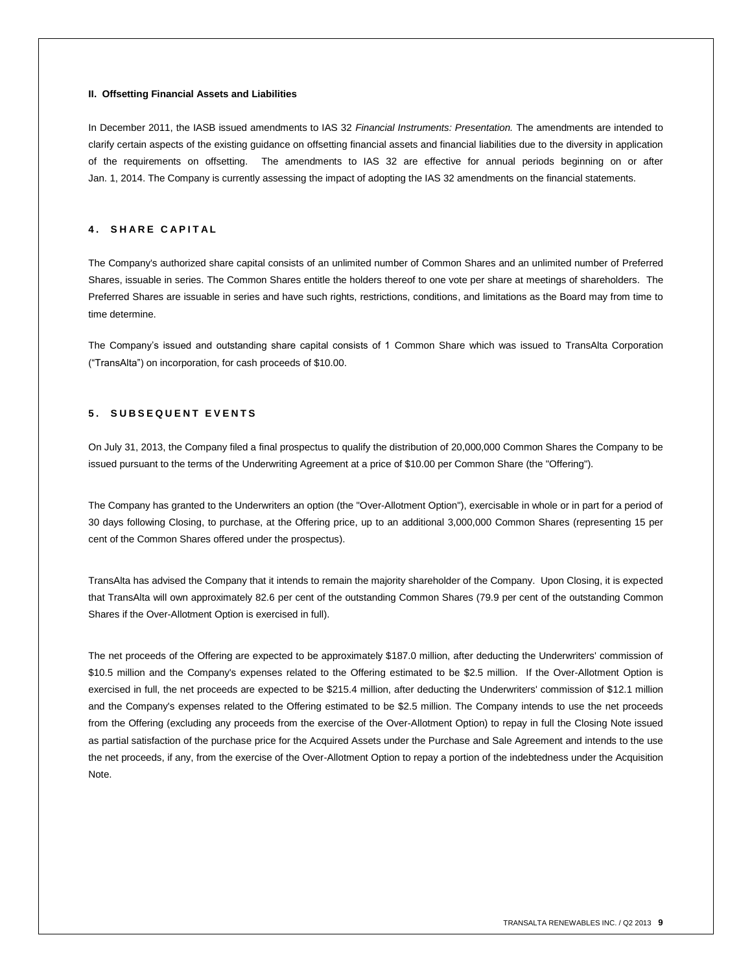### **II. Offsetting Financial Assets and Liabilities**

In December 2011, the IASB issued amendments to IAS 32 *Financial Instruments: Presentation.* The amendments are intended to clarify certain aspects of the existing guidance on offsetting financial assets and financial liabilities due to the diversity in application of the requirements on offsetting. The amendments to IAS 32 are effective for annual periods beginning on or after Jan. 1, 2014. The Company is currently assessing the impact of adopting the IAS 32 amendments on the financial statements.

# **4 . S H A R E C A P I T A L**

The Company's authorized share capital consists of an unlimited number of Common Shares and an unlimited number of Preferred Shares, issuable in series. The Common Shares entitle the holders thereof to one vote per share at meetings of shareholders. The Preferred Shares are issuable in series and have such rights, restrictions, conditions, and limitations as the Board may from time to time determine.

The Company's issued and outstanding share capital consists of 1 Common Share which was issued to TransAlta Corporation ("TransAlta") on incorporation, for cash proceeds of \$10.00.

# **5 . S U B S E Q U E N T E V E N T S**

On July 31, 2013, the Company filed a final prospectus to qualify the distribution of 20,000,000 Common Shares the Company to be issued pursuant to the terms of the Underwriting Agreement at a price of \$10.00 per Common Share (the "Offering").

The Company has granted to the Underwriters an option (the "Over-Allotment Option"), exercisable in whole or in part for a period of 30 days following Closing, to purchase, at the Offering price, up to an additional 3,000,000 Common Shares (representing 15 per cent of the Common Shares offered under the prospectus).

TransAlta has advised the Company that it intends to remain the majority shareholder of the Company. Upon Closing, it is expected that TransAlta will own approximately 82.6 per cent of the outstanding Common Shares (79.9 per cent of the outstanding Common Shares if the Over-Allotment Option is exercised in full).

The net proceeds of the Offering are expected to be approximately \$187.0 million, after deducting the Underwriters' commission of \$10.5 million and the Company's expenses related to the Offering estimated to be \$2.5 million. If the Over-Allotment Option is exercised in full, the net proceeds are expected to be \$215.4 million, after deducting the Underwriters' commission of \$12.1 million and the Company's expenses related to the Offering estimated to be \$2.5 million. The Company intends to use the net proceeds from the Offering (excluding any proceeds from the exercise of the Over-Allotment Option) to repay in full the Closing Note issued as partial satisfaction of the purchase price for the Acquired Assets under the Purchase and Sale Agreement and intends to the use the net proceeds, if any, from the exercise of the Over-Allotment Option to repay a portion of the indebtedness under the Acquisition Note.